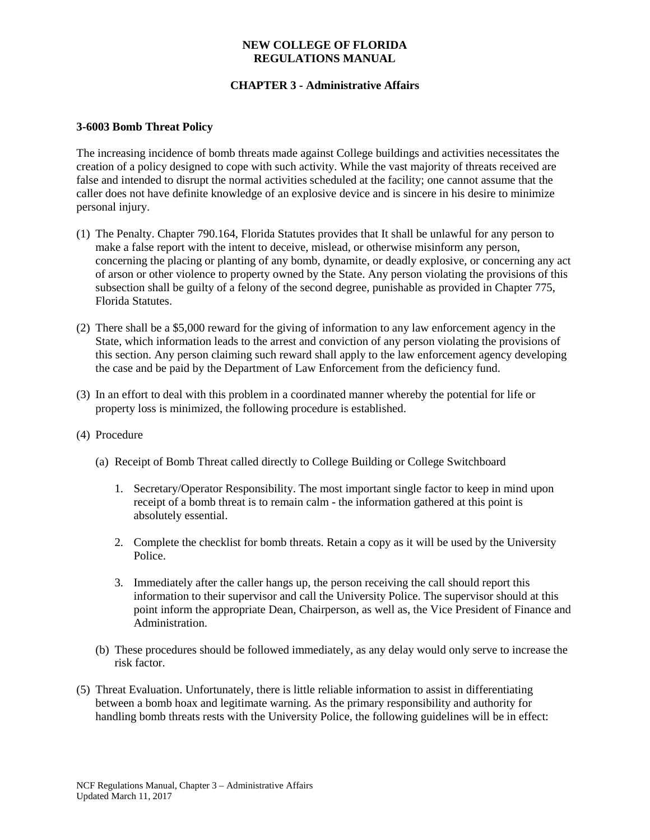### **NEW COLLEGE OF FLORIDA REGULATIONS MANUAL**

# **CHAPTER 3 - Administrative Affairs**

#### **3-6003 Bomb Threat Policy**

The increasing incidence of bomb threats made against College buildings and activities necessitates the creation of a policy designed to cope with such activity. While the vast majority of threats received are false and intended to disrupt the normal activities scheduled at the facility; one cannot assume that the caller does not have definite knowledge of an explosive device and is sincere in his desire to minimize personal injury.

- (1) The Penalty. Chapter 790.164, Florida Statutes provides that It shall be unlawful for any person to make a false report with the intent to deceive, mislead, or otherwise misinform any person, concerning the placing or planting of any bomb, dynamite, or deadly explosive, or concerning any act of arson or other violence to property owned by the State. Any person violating the provisions of this subsection shall be guilty of a felony of the second degree, punishable as provided in Chapter 775, Florida Statutes.
- (2) There shall be a \$5,000 reward for the giving of information to any law enforcement agency in the State, which information leads to the arrest and conviction of any person violating the provisions of this section. Any person claiming such reward shall apply to the law enforcement agency developing the case and be paid by the Department of Law Enforcement from the deficiency fund.
- (3) In an effort to deal with this problem in a coordinated manner whereby the potential for life or property loss is minimized, the following procedure is established.
- (4) Procedure
	- (a) Receipt of Bomb Threat called directly to College Building or College Switchboard
		- 1. Secretary/Operator Responsibility. The most important single factor to keep in mind upon receipt of a bomb threat is to remain calm - the information gathered at this point is absolutely essential.
		- 2. Complete the checklist for bomb threats. Retain a copy as it will be used by the University Police.
		- 3. Immediately after the caller hangs up, the person receiving the call should report this information to their supervisor and call the University Police. The supervisor should at this point inform the appropriate Dean, Chairperson, as well as, the Vice President of Finance and Administration.
	- (b) These procedures should be followed immediately, as any delay would only serve to increase the risk factor.
- (5) Threat Evaluation. Unfortunately, there is little reliable information to assist in differentiating between a bomb hoax and legitimate warning. As the primary responsibility and authority for handling bomb threats rests with the University Police, the following guidelines will be in effect: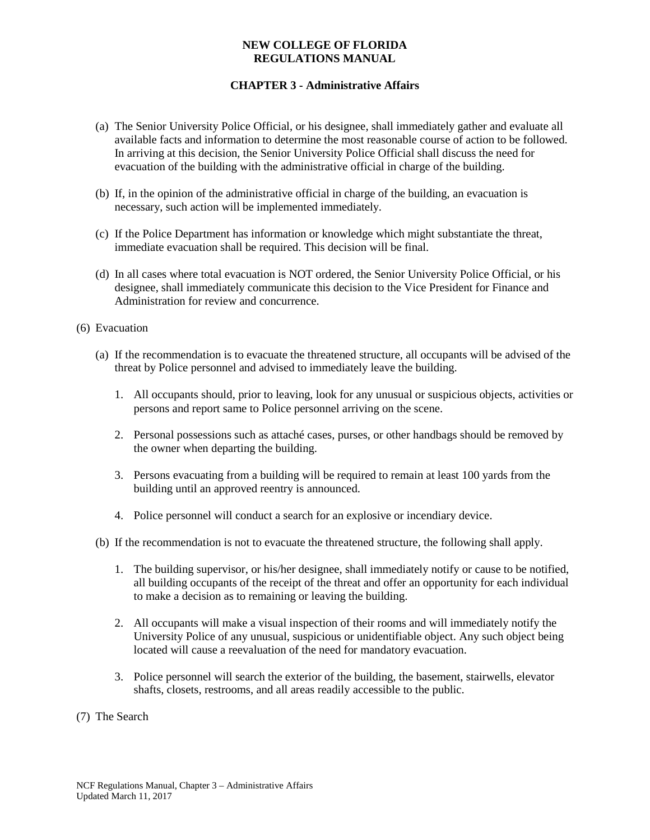### **NEW COLLEGE OF FLORIDA REGULATIONS MANUAL**

# **CHAPTER 3 - Administrative Affairs**

- (a) The Senior University Police Official, or his designee, shall immediately gather and evaluate all available facts and information to determine the most reasonable course of action to be followed. In arriving at this decision, the Senior University Police Official shall discuss the need for evacuation of the building with the administrative official in charge of the building.
- (b) If, in the opinion of the administrative official in charge of the building, an evacuation is necessary, such action will be implemented immediately.
- (c) If the Police Department has information or knowledge which might substantiate the threat, immediate evacuation shall be required. This decision will be final.
- (d) In all cases where total evacuation is NOT ordered, the Senior University Police Official, or his designee, shall immediately communicate this decision to the Vice President for Finance and Administration for review and concurrence.
- (6) Evacuation
	- (a) If the recommendation is to evacuate the threatened structure, all occupants will be advised of the threat by Police personnel and advised to immediately leave the building.
		- 1. All occupants should, prior to leaving, look for any unusual or suspicious objects, activities or persons and report same to Police personnel arriving on the scene.
		- 2. Personal possessions such as attaché cases, purses, or other handbags should be removed by the owner when departing the building.
		- 3. Persons evacuating from a building will be required to remain at least 100 yards from the building until an approved reentry is announced.
		- 4. Police personnel will conduct a search for an explosive or incendiary device.
	- (b) If the recommendation is not to evacuate the threatened structure, the following shall apply.
		- 1. The building supervisor, or his/her designee, shall immediately notify or cause to be notified, all building occupants of the receipt of the threat and offer an opportunity for each individual to make a decision as to remaining or leaving the building.
		- 2. All occupants will make a visual inspection of their rooms and will immediately notify the University Police of any unusual, suspicious or unidentifiable object. Any such object being located will cause a reevaluation of the need for mandatory evacuation.
		- 3. Police personnel will search the exterior of the building, the basement, stairwells, elevator shafts, closets, restrooms, and all areas readily accessible to the public.
- (7) The Search